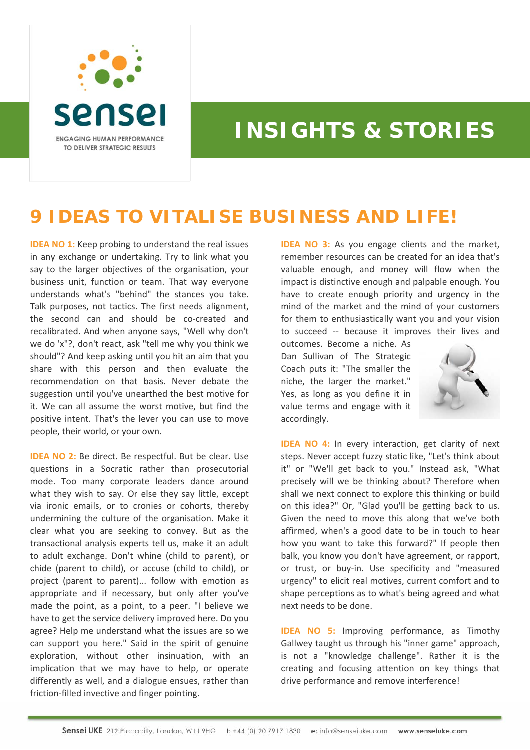

## **INSIGHTS & STORIES**

## **9 IDEAS TO VITALISE BUSINESS AND LIFE!**

**IDEA NO 1:** Keep probing to understand the real issues in any exchange or undertaking. Try to link what you say to the larger objectives of the organisation, your business unit, function or team. That way everyone understands what's "behind" the stances you take. Talk purposes, not tactics. The first needs alignment, the second can and should be co-created and recalibrated. And when anyone says, "Well why don't we do 'x"?, don't react, ask "tell me why you think we should"? And keep asking until you hit an aim that you share with this person and then evaluate the recommendation on that basis. Never debate the suggestion until you've unearthed the best motive for it. We can all assume the worst motive, but find the positive intent. That's the lever you can use to move people, their world, or your own.

**IDEA NO 2:** Be direct. Be respectful. But be clear. Use questions in a Socratic rather than prosecutorial mode. Too many corporate leaders dance around what they wish to say. Or else they say little, except via ironic emails, or to cronies or cohorts, thereby undermining the culture of the organisation. Make it clear what you are seeking to convey. But as the transactional analysis experts tell us, make it an adult to adult exchange. Don't whine (child to parent), or chide (parent to child), or accuse (child to child), or project (parent to parent)... follow with emotion as appropriate and if necessary, but only after you've made the point, as a point, to a peer. "I believe we have to get the service delivery improved here. Do you agree? Help me understand what the issues are so we can support you here." Said in the spirit of genuine exploration, without other insinuation, with an implication that we may have to help, or operate differently as well, and a dialogue ensues, rather than friction‐filled invective and finger pointing.

**IDEA NO 3:** As you engage clients and the market, remember resources can be created for an idea that's valuable enough, and money will flow when the impact is distinctive enough and palpable enough. You have to create enough priority and urgency in the mind of the market and the mind of your customers for them to enthusiastically want you and your vision to succeed ‐‐ because it improves their lives and

outcomes. Become a niche. As Dan Sullivan of The Strategic Coach puts it: "The smaller the niche, the larger the market." Yes, as long as you define it in value terms and engage with it accordingly.



**IDEA NO 4:** In every interaction, get clarity of next steps. Never accept fuzzy static like, "Let's think about it" or "We'll get back to you." Instead ask, "What precisely will we be thinking about? Therefore when shall we next connect to explore this thinking or build on this idea?" Or, "Glad you'll be getting back to us. Given the need to move this along that we've both affirmed, when's a good date to be in touch to hear how you want to take this forward?" If people then balk, you know you don't have agreement, or rapport, or trust, or buy‐in. Use specificity and "measured urgency" to elicit real motives, current comfort and to shape perceptions as to what's being agreed and what next needs to be done.

**IDEA NO 5:** Improving performance, as Timothy Gallwey taught us through his "inner game" approach, is not a "knowledge challenge". Rather it is the creating and focusing attention on key things that drive performance and remove interference!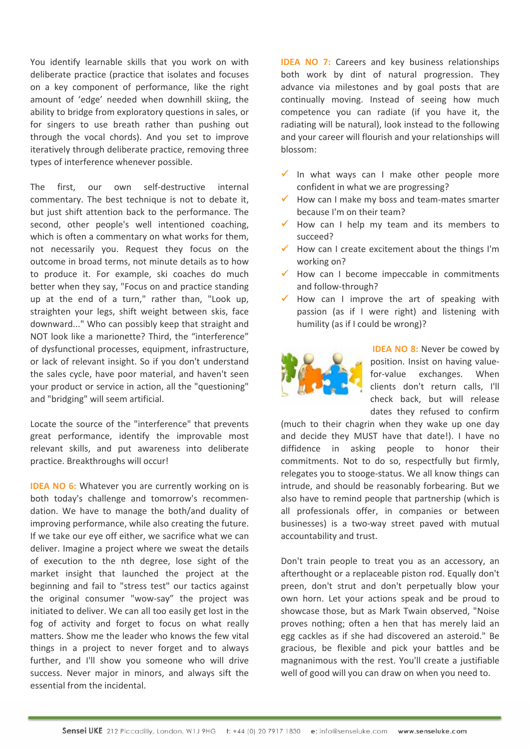You identify learnable skills that you work on with deliberate practice (practice that isolates and focuses on a key component of performance, like the right amount of 'edge' needed when downhill skiing, the ability to bridge from exploratory questions in sales, or for singers to use breath rather than pushing out through the vocal chords). And you set to improve iteratively through deliberate practice, removing three types of interference whenever possible.

The first, our own self-destructive internal commentary. The best technique is not to debate it, but just shift attention back to the performance. The second, other people's well intentioned coaching, which is often a commentary on what works for them, not necessarily you. Request they focus on the outcome in broad terms, not minute details as to how to produce it. For example, ski coaches do much better when they say, "Focus on and practice standing up at the end of a turn," rather than, "Look up, straighten your legs, shift weight between skis, face downward..." Who can possibly keep that straight and NOT look like a marionette? Third, the "interference" of dysfunctional processes, equipment, infrastructure, or lack of relevant insight. So if you don't understand the sales cycle, have poor material, and haven't seen your product or service in action, all the "questioning" and "bridging" will seem artificial.

Locate the source of the "interference" that prevents great performance, identify the improvable most relevant skills, and put awareness into deliberate practice. Breakthroughs will occur!

**IDEA NO 6:** Whatever you are currently working on is both today's challenge and tomorrow's recommen‐ dation. We have to manage the both/and duality of improving performance, while also creating the future. If we take our eye off either, we sacrifice what we can deliver. Imagine a project where we sweat the details of execution to the nth degree, lose sight of the market insight that launched the project at the beginning and fail to "stress test" our tactics against the original consumer "wow‐say" the project was initiated to deliver. We can all too easily get lost in the fog of activity and forget to focus on what really matters. Show me the leader who knows the few vital things in a project to never forget and to always further, and I'll show you someone who will drive success. Never major in minors, and always sift the essential from the incidental.

**IDEA NO 7:** Careers and key business relationships both work by dint of natural progression. They advance via milestones and by goal posts that are continually moving. Instead of seeing how much competence you can radiate (if you have it, the radiating will be natural), look instead to the following and your career will flourish and your relationships will blossom:

- $\checkmark$  In what ways can I make other people more confident in what we are progressing?
- $\checkmark$  How can I make my boss and team-mates smarter because I'm on their team?
- $\checkmark$  How can I help my team and its members to succeed?
- $\checkmark$  How can I create excitement about the things I'm working on?
- $\checkmark$  How can I become impeccable in commitments and follow‐through?
- How can I improve the art of speaking with passion (as if I were right) and listening with humility (as if I could be wrong)?



**IDEA NO 8:** Never be cowed by position. Insist on having value‐ for-value exchanges. When clients don't return calls, I'll check back, but will release dates they refused to confirm

(much to their chagrin when they wake up one day and decide they MUST have that date!). I have no diffidence in asking people to honor their commitments. Not to do so, respectfully but firmly, relegates you to stooge‐status. We all know things can intrude, and should be reasonably forbearing. But we also have to remind people that partnership (which is all professionals offer, in companies or between businesses) is a two‐way street paved with mutual accountability and trust.

Don't train people to treat you as an accessory, an afterthought or a replaceable piston rod. Equally don't preen, don't strut and don't perpetually blow your own horn. Let your actions speak and be proud to showcase those, but as Mark Twain observed, "Noise proves nothing; often a hen that has merely laid an egg cackles as if she had discovered an asteroid." Be gracious, be flexible and pick your battles and be magnanimous with the rest. You'll create a justifiable well of good will you can draw on when you need to.